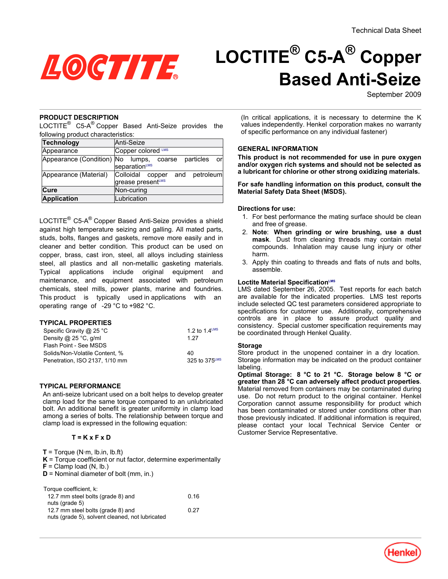

# **LOCTITE® C5-A® Copper Based Anti-Seize**

September 2009

## **PRODUCT DESCRIPTION**

LOCTITE $^{\circledR}$  C5-A $^{\circledR}$  Copper Based Anti-Seize provides the following product characteristics:

| Technology                       | Anti-Seize                                                   |  |  |
|----------------------------------|--------------------------------------------------------------|--|--|
| Appearance                       | Copper colored LMS                                           |  |  |
| Appearance (Condition) No lumps, | particles<br>coarse<br>_orl<br>separationLMS                 |  |  |
| Appearance (Material)            | Colloidal<br>petroleum<br>copper<br>and<br>grease presentLMS |  |  |
| Cure                             | Non-curing                                                   |  |  |
| <b>Application</b>               | Lubrication                                                  |  |  |

LOCTITE® C5-A® Copper Based Anti-Seize provides a shield against high temperature seizing and galling. All mated parts, studs, bolts, flanges and gaskets, remove more easily and in cleaner and better condition. This product can be used on copper, brass, cast iron, steel, all alloys including stainless steel, all plastics and all non-metallic gasketing materials. Typical applications include original equipment and maintenance, and equipment associated with petroleum chemicals, steel mills, power plants, marine and foundries. This product is typically used in applications with an operating range of -29 °C to +982 °C.

## **TYPICAL PROPERTIES**

| Specific Gravity $\omega$ 25 °C | 1.2 to 1.4 $LMS$ |
|---------------------------------|------------------|
| Density @ $25^{\circ}$ C, g/ml  | 1 27             |
| Flash Point - See MSDS          |                  |
| Solids/Non-Volatile Content, %  | 40               |
| Penetration, ISO 2137, 1/10 mm  | 325 to 375LMS    |

## **TYPICAL PERFORMANCE**

An anti-seize lubricant used on a bolt helps to develop greater clamp load for the same torque compared to an unlubricated bolt. An additional benefit is greater uniformity in clamp load among a series of bolts. The relationship between torque and clamp load is expressed in the following equation:

## **T = K x F x D**

 $T = T$ orque (N·m, lb.in, lb.ft)

- **K** = Torque coefficient or nut factor, determine experimentally  $F =$  Clamp load (N, lb.)
- 
- **D** = Nominal diameter of bolt (mm, in.)

| Torque coefficient, k:                          |      |
|-------------------------------------------------|------|
| 12.7 mm steel bolts (grade 8) and               | 0 16 |
| nuts (grade 5)                                  |      |
| 12.7 mm steel bolts (grade 8) and               | 0.27 |
| nuts (grade 5), solvent cleaned, not lubricated |      |

(In critical applications, it is necessary to determine the K values independently. Henkel corporation makes no warranty of specific performance on any individual fastener)

## **GENERAL INFORMATION**

**This product is not recommended for use in pure oxygen and/or oxygen rich systems and should not be selected as a lubricant for chlorine or other strong oxidizing materials.**

**For safe handling information on this product, consult the Material Safety Data Sheet (MSDS).**

#### **Directions for use:**

- 1. For best performance the mating surface should be clean and free of grease.
- 2. **Note**: **When grinding or wire brushing, use a dust mask**. Dust from cleaning threads may contain metal compounds. Inhalation may cause lung injury or other harm.
- 3. Apply thin coating to threads and flats of nuts and bolts, assemble.

#### **Loctite Material SpecificationLMS**

LMS dated September 26, 2005. Test reports for each batch are available for the indicated properties. LMS test reports include selected QC test parameters considered appropriate to specifications for customer use. Additionally, comprehensive controls are in place to assure product quality and consistency. Special customer specification requirements may be coordinated through Henkel Quality.

#### **Storage**

Store product in the unopened container in a dry location. Storage information may be indicated on the product container labeling.

**Optimal Storage: 8 °C to 21 °C. Storage below 8 °C or greater than 28 °C can adversely affect product properties**. Material removed from containers may be contaminated during use. Do not return product to the original container. Henkel Corporation cannot assume responsibility for product which has been contaminated or stored under conditions other than those previously indicated. If additional information is required, please contact your local Technical Service Center or Customer Service Representative.